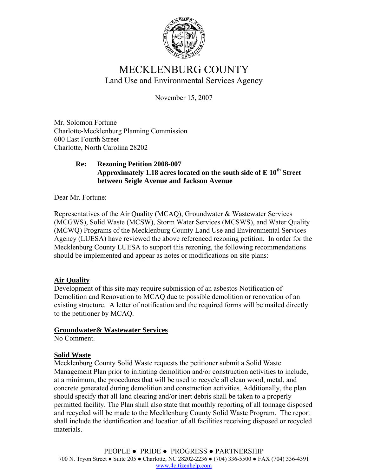

# MECKLENBURG COUNTY Land Use and Environmental Services Agency

November 15, 2007

Mr. Solomon Fortune Charlotte-Mecklenburg Planning Commission 600 East Fourth Street Charlotte, North Carolina 28202

## **Re: Rezoning Petition 2008-007 Approximately 1.18 acres located on the south side of E 10th Street between Seigle Avenue and Jackson Avenue**

Dear Mr. Fortune:

Representatives of the Air Quality (MCAQ), Groundwater & Wastewater Services (MCGWS), Solid Waste (MCSW), Storm Water Services (MCSWS), and Water Quality (MCWQ) Programs of the Mecklenburg County Land Use and Environmental Services Agency (LUESA) have reviewed the above referenced rezoning petition. In order for the Mecklenburg County LUESA to support this rezoning, the following recommendations should be implemented and appear as notes or modifications on site plans:

# **Air Quality**

Development of this site may require submission of an asbestos Notification of Demolition and Renovation to MCAQ due to possible demolition or renovation of an existing structure. A letter of notification and the required forms will be mailed directly to the petitioner by MCAQ.

## **Groundwater& Wastewater Services**

No Comment.

# **Solid Waste**

Mecklenburg County Solid Waste requests the petitioner submit a Solid Waste Management Plan prior to initiating demolition and/or construction activities to include, at a minimum, the procedures that will be used to recycle all clean wood, metal, and concrete generated during demolition and construction activities. Additionally, the plan should specify that all land clearing and/or inert debris shall be taken to a properly permitted facility. The Plan shall also state that monthly reporting of all tonnage disposed and recycled will be made to the Mecklenburg County Solid Waste Program. The report shall include the identification and location of all facilities receiving disposed or recycled materials.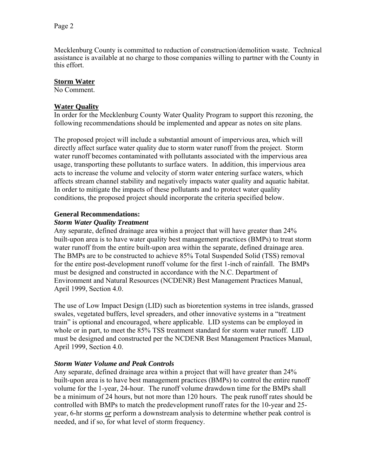Mecklenburg County is committed to reduction of construction/demolition waste. Technical assistance is available at no charge to those companies willing to partner with the County in this effort.

#### **Storm Water**

No Comment.

#### **Water Quality**

In order for the Mecklenburg County Water Quality Program to support this rezoning, the following recommendations should be implemented and appear as notes on site plans.

The proposed project will include a substantial amount of impervious area, which will directly affect surface water quality due to storm water runoff from the project. Storm water runoff becomes contaminated with pollutants associated with the impervious area usage, transporting these pollutants to surface waters. In addition, this impervious area acts to increase the volume and velocity of storm water entering surface waters, which affects stream channel stability and negatively impacts water quality and aquatic habitat. In order to mitigate the impacts of these pollutants and to protect water quality conditions, the proposed project should incorporate the criteria specified below.

#### **General Recommendations:**

#### *Storm Water Quality Treatment*

Any separate, defined drainage area within a project that will have greater than 24% built-upon area is to have water quality best management practices (BMPs) to treat storm water runoff from the entire built-upon area within the separate, defined drainage area. The BMPs are to be constructed to achieve 85% Total Suspended Solid (TSS) removal for the entire post-development runoff volume for the first 1-inch of rainfall. The BMPs must be designed and constructed in accordance with the N.C. Department of Environment and Natural Resources (NCDENR) Best Management Practices Manual, April 1999, Section 4.0.

The use of Low Impact Design (LID) such as bioretention systems in tree islands, grassed swales, vegetated buffers, level spreaders, and other innovative systems in a "treatment train" is optional and encouraged, where applicable. LID systems can be employed in whole or in part, to meet the 85% TSS treatment standard for storm water runoff. LID must be designed and constructed per the NCDENR Best Management Practices Manual, April 1999, Section 4.0.

## *Storm Water Volume and Peak Controls*

Any separate, defined drainage area within a project that will have greater than 24% built-upon area is to have best management practices (BMPs) to control the entire runoff volume for the 1-year, 24-hour. The runoff volume drawdown time for the BMPs shall be a minimum of 24 hours, but not more than 120 hours. The peak runoff rates should be controlled with BMPs to match the predevelopment runoff rates for the 10-year and 25 year, 6-hr storms *or* perform a downstream analysis to determine whether peak control is needed, and if so, for what level of storm frequency.